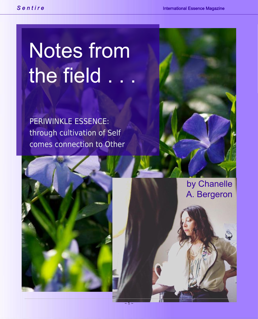# Notes from the field ...

PERIWINKLE ESSENCE: through cultivation of Self comes connection to Other

~ 1 ~

# by Chanelle A. Bergeron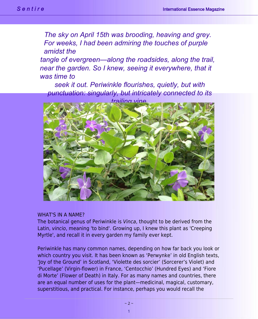*The sky on April 15th was brooding, heaving and grey. For weeks, I had been admiring the touches of purple amidst the*

*tangle of evergreen—along the roadsides, along the trail, near the garden. So I knew, seeing it everywhere, that it was time to*

*seek it out. Periwinkle flourishes, quietly, but with punctuation: singularly, but intricately connected to its trailing vine.* 



#### WHAT'S IN A NAME?

The botanical genus of Periwinkle is Vinca, thought to be derived from the Latin, vincio, meaning 'to bind'. Growing up, I knew this plant as 'Creeping Myrtle', and recall it in every garden my family ever kept.

Periwinkle has many common names, depending on how far back you look or which country you visit. It has been known as 'Perwynke' in old English texts, 'Joy of the Ground' in Scotland, 'Violette des sorcier' (Sorcerer's Violet) and 'Pucellage' (Virgin-flower) in France, 'Centocchio' (Hundred Eyes) and 'Fiore di Morte' (Flower of Death) in Italy. For as many names and countries, there are an equal number of uses for the plant—medicinal, magical, customary, superstitious, and practical. For instance, perhaps you would recall the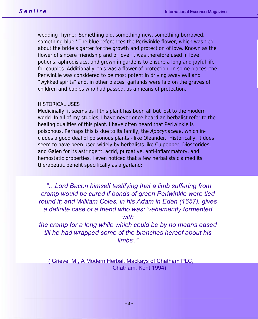wedding rhyme: 'Something old, something new, something borrowed, something blue.' The blue references the Periwinkle flower, which was tied about the bride's garter for the growth and protection of love. Known as the flower of sincere friendship and of love, it was therefore used in love potions, aphrodisiacs, and grown in gardens to ensure a long and joyful life for couples. Additionally, this was a flower of protection. In some places, the Periwinkle was considered to be most potent in driving away evil and "wykked spirits" and, in other places, garlands were laid on the graves of children and babies who had passed, as a means of protection.

#### HISTORICAL USES

Medicinally, it seems as if this plant has been all but lost to the modern world. In all of my studies, I have never once heard an herbalist refer to the healing qualities of this plant. I have often heard that Periwinkle is poisonous. Perhaps this is due to its family, the Apocynaceae, which includes a good deal of poisonous plants - like Oleander. Historically, it does seem to have been used widely by herbalists like Culpepper, Dioscorides, and Galen for its astringent, acrid, purgative, anti-inflammatory, and hemostatic properties. I even noticed that a few herbalists claimed its therapeutic benefit specifically as a garland:

*"…Lord Bacon himself testifying that a limb suffering from cramp would be cured if bands of green Periwinkle were tied round it; and William Coles, in his Adam in Eden (1657), gives a definite case of a friend who was: 'vehemently tormented* 

*with*

*the cramp for a long while which could be by no means eased till he had wrapped some of the branches hereof about his limbs'."* 

( Grieve, M., A Modern Herbal, Mackays of Chatham PLC, Chatham, Kent 1994)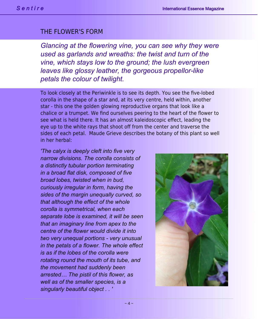## THE FLOWER'S FORM

*Glancing at the flowering vine, you can see why they were used as garlands and wreaths: the twist and turn of the vine, which stays low to the ground; the lush evergreen leaves like glossy leather, the gorgeous propellor-like petals the colour of twilight.* 

To look closely at the Periwinkle is to see its depth. You see the five-lobed corolla in the shape of a star and, at its very centre, held within, another star - this one the golden glowing reproductive organs that look like a chalice or a trumpet. We find ourselves peering to the heart of the flower to see what is held there. It has an almost kaleidoscopic effect, leading the eye up to the white rays that shoot off from the center and traverse the sides of each petal. Maude Grieve describes the botany of this plant so well in her herbal:

*'The calyx is deeply cleft into five very narrow divisions. The corolla consists of a distinctly tubular portion terminating in a broad flat disk, composed of five broad lobes, twisted when in bud, curiously irregular in form, having the sides of the margin unequally curved, so that although the effect of the whole corolla is symmetrical, when each separate lobe is examined, it will be seen that an imaginary line from apex to the centre of the flower would divide it into two very unequal portions - very unusual in the petals of a flower. The whole effect is as if the lobes of the corolla were rotating round the mouth of its tube, and the movement had suddenly been arrested… The pistil of this flower, as well as of the smaller species, is a singularly beautiful object . . '*

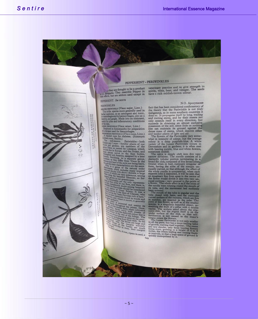

#### PEPPERMINT - PERIWINKLES

we they are thought to be a product at  $A$ . Melgueta. They resemble Pepper in their effects, but are seldom used except in

#### PEPPERMINT. See MINTS

**PERIWINKLES** 

FEPPERMIN1. See saiss and region of the specifical compact of the specifical control in this the species more generally used in the specifical control in anomination, as an assume that in a graph. Make into an observation

 $\begin{array}{l} \mathcal{N}_{\text{Higgs}} & \mathcal{N}_{\text{Higgs}} & \mathcal{N}_{\text{Higgs}} & \mathcal{N}_{\text{Higgs}} \\ \mathcal{N}_{\text{Higgs}} & \mathcal{N}_{\text{Higgs}} & \mathcal{N}_{\text{Higgs}} & \mathcal{N}_{\text{Higgs}} \\ \mathcal{N}_{\text{Higgs}} & \mathcal{N}_{\text{Higgs}} & \mathcal{N}_{\text{Higgs}} & \mathcal{N}_{\text{Higgs}} & \mathcal{N}_{\text{Higgs}} \\ \mathcal{N}_{\text{Higgs}} & \mathcal{N}_{\text{Higgs}} & \mathcal{N}_{\text{Higgs}} & \mathcal{N$ eldom, if ever, ripens its seed, a

veterinary practice and to give strength to<br>spirits, wine, beer, and vinegar. The seeds<br>have a rich reddish-brown colour.

#### N.O. Apocynaceæ

N.O. A<br>pocynace<br/> $\mathbb R$  . O. Apocynace<br>as fact that has been considered confirmatory of the theory that the Periwin<br>kle is not truly indigenous, as in more southern countries it is only adoes so. It propagates itself b

 $629$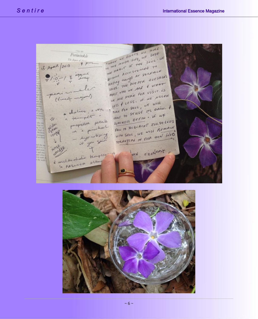The HABIT of the new to the Linu spp. Beriminkle<br>
The flower of port in the lite, we have we get the sout we<br>
The flower of port in the lite, we sout we<br>
What we have the south are someoned<br>
Period in the little the visit vs<br>
(Vinet major) the Here Fig. Visit Periwinkle 15. April 2018 HONT WHO HERE FOR VISIT WANT The proposition of the to server it's parties of the move of the to server it's parties of the to server it's parties of the move of the soul, we will be the server of the move of the movement of the to server it's parties FAIL TO ACQUAINT OVE SELVES is temperature of the country of the main of the same will be main in the same of the same of the same of the same of the same of the same of the same of the same of the same of the same of the same of the same of the same lotted a DONOTHE provider<br>& met in dealie temperament mel in didne seem

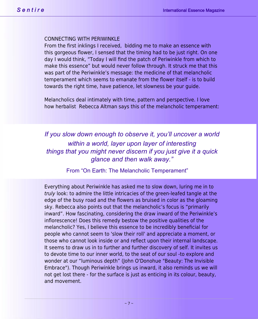#### CONNECTING WITH PERIWINKLE

From the first inklings I received, bidding me to make an essence with this gorgeous flower, I sensed that the timing had to be just right. On one day I would think, "Today I will find the patch of Periwinkle from which to make this essence" but would never follow through. It struck me that this was part of the Periwinkle's message: the medicine of that melancholic temperament which seems to emanate from the flower itself - is to build towards the right time, have patience, let slowness be your guide.

Melancholics deal intimately with time, pattern and perspective. I love how herbalist Rebecca Altman says this of the melancholic temperament:

*If you slow down enough to observe it, you'll uncover a world within a world, layer upon layer of interesting things that you might never discern if you just give it a quick glance and then walk away."* 

From "On Earth: The Melancholic Temperament"

Everything about Periwinkle has asked me to slow down, luring me in to truly look: to admire the little intricacies of the green-leafed tangle at the edge of the busy road and the flowers as bruised in color as the gloaming sky. Rebecca also points out that the melancholic's focus is "primarily inward". How fascinating, considering the draw inward of the Periwinkle's inflorescence! Does this remedy bestow the positive qualities of the melancholic? Yes, I believe this essence to be incredibly beneficial for people who cannot seem to 'slow their roll' and appreciate a moment, or those who cannot look inside or and reflect upon their internal landscape. It seems to draw us in to further and further discovery of self. It invites us to devote time to our inner world, to the seat of our soul -to explore and wonder at our "luminous depth" (John O'Donohue "Beauty: The Invisible Embrace"). Though Periwinkle brings us inward, it also reminds us we will not get lost there - for the surface is just as enticing in its colour, beauty, and movement.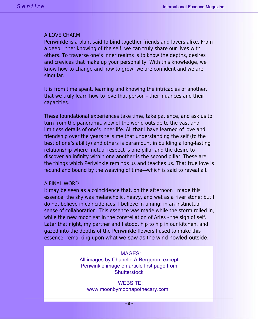#### A LOVE CHARM

Periwinkle is a plant said to bind together friends and lovers alike. From a deep, inner knowing of the self, we can truly share our lives with others. To traverse one's inner realms is to know the depths, desires and crevices that make up your personality. With this knowledge, we know how to change and how to grow; we are confident and we are singular.

It is from time spent, learning and knowing the intricacies of another, that we truly learn how to love that person - their nuances and their capacities.

These foundational experiences take time, take patience, and ask us to turn from the panoramic view of the world outside to the vast and limitless details of one's inner life. All that I have learned of love and friendship over the years tells me that understanding the self (to the best of one's ability) and others is paramount in building a long-lasting relationship where mutual respect is one pillar and the desire to discover an infinity within one another is the second pillar. These are the things which Periwinkle reminds us and teaches us. That true love is fecund and bound by the weaving of time—which is said to reveal all.

#### A FINAL WORD

It may be seen as a coincidence that, on the afternoon I made this essence, the sky was melancholic, heavy, and wet as a river stone; but I do not believe in coincidences. I believe in timing: in an instinctual sense of collaboration. This essence was made while the storm rolled in, while the new moon sat in the constellation of Aries - the sign of self. Later that night, my partner and I stood, hip to hip in our kitchen, and gazed into the depths of the Periwinkle flowers I used to make this essence, remarking upon what we saw as the wind howled outside.

### IMAGES:

All images by Chanelle A.Bergeron, except Periwinkle image on article first page from **Shutterstock** 

WEBSITE: www.moonbymoonapothecary.com